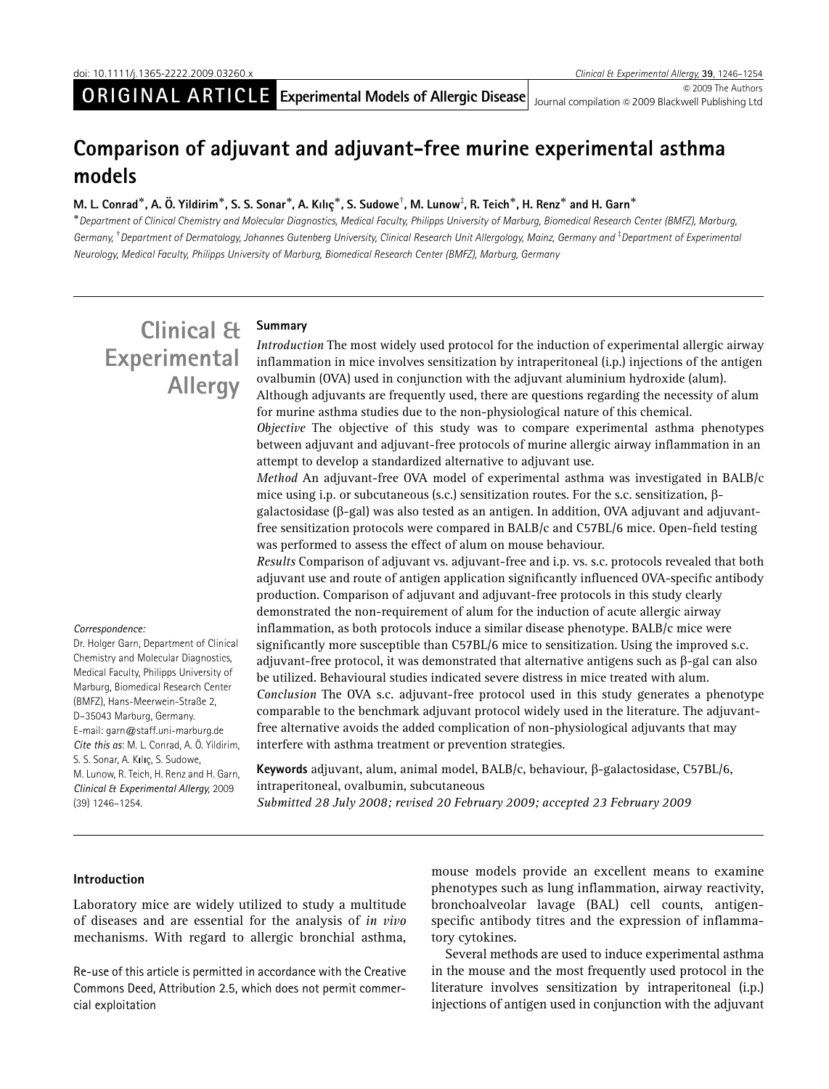© 2009 The Authors Journal compilation © 2009 Blackwell Publishing Ltd

## Comparison of adjuvant and adjuvant-free murine experimental asthma models

### M. L. Conrad $^*$ , A. Ö. Yildirim $^*$ , S. S. Sonar $^*$ , A. Kılıç $^*$ , S. Sudowe $^\dagger$ , M. Lunow $^\ddagger$ , R. Teich $^*$ , H. Renz $^*$  and H. Garn $^*$

-Department of Clinical Chemistry and Molecular Diagnostics, Medical Faculty, Philipps University of Marburg, Biomedical Research Center (BMFZ), Marburg, Germany, <sup>†</sup> Department of Dermatology, Johannes Gutenberg University, Clinical Research Unit Allergology, Mainz, Germany and <sup>‡</sup> Department of Experimenta. Neurology, Medical Faculty, Philipps University of Marburg, Biomedical Research Center (BMFZ), Marburg, Germany

# Clinical & Experimental Allergy

#### Summary

Introduction The most widely used protocol for the induction of experimental allergic airway inflammation in mice involves sensitization by intraperitoneal (i.p.) injections of the antigen ovalbumin (OVA) used in conjunction with the adjuvant aluminium hydroxide (alum). Although adjuvants are frequently used, there are questions regarding the necessity of alum for murine asthma studies due to the non-physiological nature of this chemical. Objective The objective of this study was to compare experimental asthma phenotypes between adjuvant and adjuvant-free protocols of murine allergic airway inflammation in an attempt to develop a standardized alternative to adjuvant use. Method An adjuvant-free OVA model of experimental asthma was investigated in BALB/c mice using i.p. or subcutaneous (s.c.) sensitization routes. For the s.c. sensitization,  $\beta$ galactosidase ( $\beta$ -gal) was also tested as an antigen. In addition, OVA adjuvant and adjuvantfree sensitization protocols were compared in BALB/c and C57BL/6 mice. Open-field testing was performed to assess the effect of alum on mouse behaviour. Results Comparison of adjuvant vs. adjuvant-free and i.p. vs. s.c. protocols revealed that both adjuvant use and route of antigen application significantly influenced OVA-specific antibody production. Comparison of adjuvant and adjuvant-free protocols in this study clearly demonstrated the non-requirement of alum for the induction of acute allergic airway inflammation, as both protocols induce a similar disease phenotype. BALB/c mice were significantly more susceptible than C57BL/6 mice to sensitization. Using the improved s.c. adjuvant-free protocol, it was demonstrated that alternative antigens such as  $\beta$ -gal can also be utilized. Behavioural studies indicated severe distress in mice treated with alum. Conclusion The OVA s.c. adjuvant-free protocol used in this study generates a phenotype comparable to the benchmark adjuvant protocol widely used in the literature. The adjuvantfree alternative avoids the added complication of non-physiological adjuvants that may

#### Correspondence:

Dr. Holger Garn, Department of Clinical Chemistry and Molecular Diagnostics, Medical Faculty, Philipps University of Marburg, Biomedical Research Center (BMFZ), Hans-Meerwein-Straße 2, D–35043 Marburg, Germany. E-mail: [garn@staff.uni-marburg.de](mailto:garn@staff.uni-marburg.de) Cite this as: M. L. Conrad, A. Ö. Yildirim, [S. S. Sonar, A. K](mailto:garn@staff.uni-marburg.de)ılıç, S. Sudowe, [M. Lunow, R. Teich, H. Renz and H. Garn,](mailto:garn@staff.uni-marburg.de) [Clinical & Experimental Allergy](mailto:garn@staff.uni-marburg.de), 2009 [\(39\) 1246–1254.](mailto:garn@staff.uni-marburg.de)

Keywords adjuvant, alum, animal model, BALB/c, behaviour, b-galactosidase, C57BL/6, intraperitoneal, ovalbumin, subcutaneous

Submitted 28 July 2008; revised 20 February 2009; accepted 23 February 2009

interfere with asthma treatment or prevention strategies.

#### Introduction

Laboratory mice are widely utilized to study a multitude of diseases and are essential for the analysis of in vivo mechanisms. With regard to allergic bronchial asthma,

Re-use of this article is permitted in accordance with the Creative Commons Deed, Attribution 2.5, which does not permit commercial exploitation

mouse models provide an excellent means to examine phenotypes such as lung inflammation, airway reactivity, bronchoalveolar lavage (BAL) cell counts, antigenspecific antibody titres and the expression of inflammatory cytokines.

Several methods are used to induce experimental asthma in the mouse and the most frequently used protocol in the literature involves sensitization by intraperitoneal (i.p.) injections of antigen used in conjunction with the adjuvant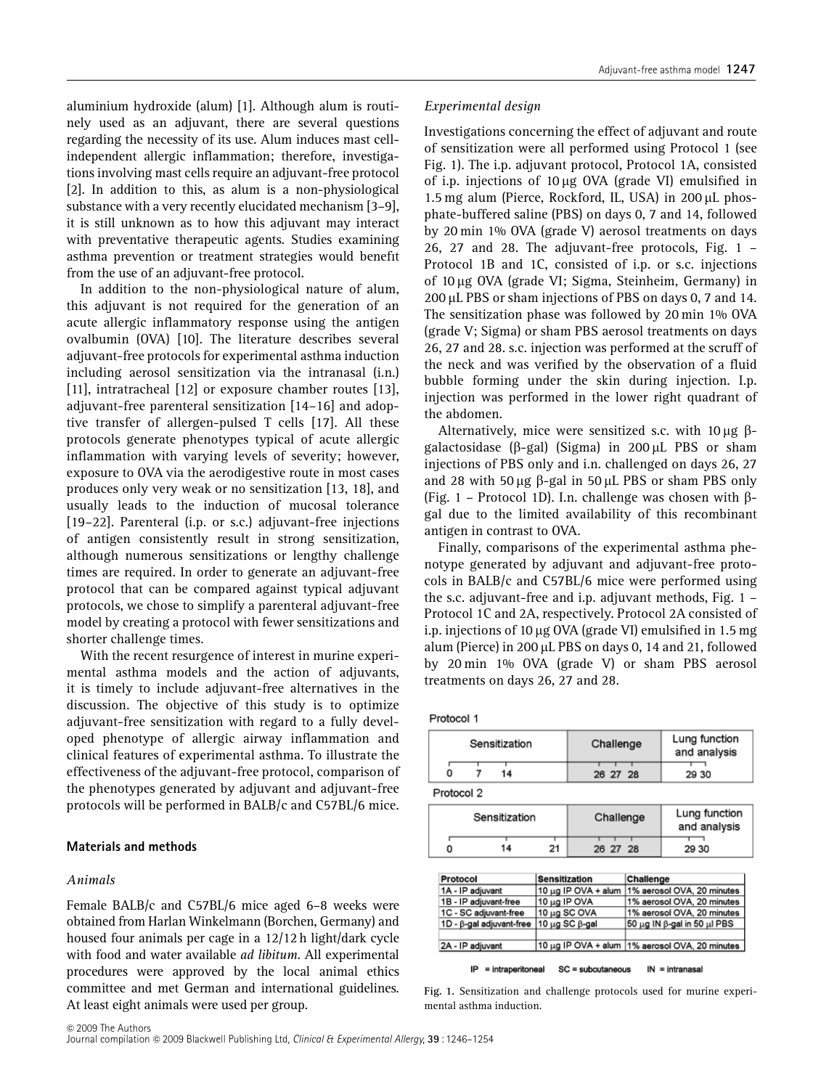aluminium hydroxide (alum) [1]. Although alum is routinely used as an adjuvant, there are several questions regarding the necessity of its use. Alum induces mast cellindependent allergic inflammation; therefore, investigations involving mast cells require an adjuvant-free protocol [2]. In addition to this, as alum is a non-physiological substance with a very recently elucidated mechanism [3–9], it is still unknown as to how this adjuvant may interact with preventative therapeutic agents. Studies examining asthma prevention or treatment strategies would benefit from the use of an adjuvant-free protocol.

In addition to the non-physiological nature of alum, this adjuvant is not required for the generation of an acute allergic inflammatory response using the antigen ovalbumin (OVA) [10]. The literature describes several adjuvant-free protocols for experimental asthma induction including aerosol sensitization via the intranasal (i.n.) [11], intratracheal [12] or exposure chamber routes [13], adjuvant-free parenteral sensitization [14–16] and adoptive transfer of allergen-pulsed T cells [17]. All these protocols generate phenotypes typical of acute allergic inflammation with varying levels of severity; however, exposure to OVA via the aerodigestive route in most cases produces only very weak or no sensitization [13, 18], and usually leads to the induction of mucosal tolerance [19–22]. Parenteral (i.p. or s.c.) adjuvant-free injections of antigen consistently result in strong sensitization, although numerous sensitizations or lengthy challenge times are required. In order to generate an adjuvant-free protocol that can be compared against typical adjuvant protocols, we chose to simplify a parenteral adjuvant-free model by creating a protocol with fewer sensitizations and shorter challenge times.

With the recent resurgence of interest in murine experimental asthma models and the action of adjuvants, it is timely to include adjuvant-free alternatives in the discussion. The objective of this study is to optimize adjuvant-free sensitization with regard to a fully developed phenotype of allergic airway inflammation and clinical features of experimental asthma. To illustrate the effectiveness of the adjuvant-free protocol, comparison of the phenotypes generated by adjuvant and adjuvant-free protocols will be performed in BALB/c and C57BL/6 mice.

#### Materials and methods

#### Animals

Female BALB/c and C57BL/6 mice aged 6–8 weeks were obtained from Harlan Winkelmann (Borchen, Germany) and housed four animals per cage in a 12/12 h light/dark cycle with food and water available *ad libitum*. All experimental procedures were approved by the local animal ethics committee and met German and international guidelines. At least eight animals were used per group.

#### Experimental design

Investigations concerning the effect of adjuvant and route of sensitization were all performed using Protocol 1 (see Fig. 1). The i.p. adjuvant protocol, Protocol 1A, consisted of i.p. injections of  $10 \mu$ g OVA (grade VI) emulsified in 1.5 mg alum (Pierce, Rockford, IL, USA) in 200  $\mu$ L phosphate-buffered saline (PBS) on days 0, 7 and 14, followed by 20 min 1% OVA (grade V) aerosol treatments on days 26, 27 and 28. The adjuvant-free protocols, Fig. 1 – Protocol 1B and 1C, consisted of i.p. or s.c. injections of 10 mg OVA (grade VI; Sigma, Steinheim, Germany) in  $200 \mu L$  PBS or sham injections of PBS on days 0, 7 and 14. The sensitization phase was followed by 20 min 1% OVA (grade V; Sigma) or sham PBS aerosol treatments on days 26, 27 and 28. s.c. injection was performed at the scruff of the neck and was verified by the observation of a fluid bubble forming under the skin during injection. I.p. injection was performed in the lower right quadrant of the abdomen.

Alternatively, mice were sensitized s.c. with 10  $\mu$ g  $\beta$ galactosidase ( $\beta$ -gal) (Sigma) in 200 µL PBS or sham injections of PBS only and i.n. challenged on days 26, 27 and 28 with 50  $\mu$ g  $\beta$ -gal in 50  $\mu$ L PBS or sham PBS only (Fig. 1 – Protocol 1D). I.n. challenge was chosen with  $\beta$ gal due to the limited availability of this recombinant antigen in contrast to OVA.

Finally, comparisons of the experimental asthma phenotype generated by adjuvant and adjuvant-free protocols in BALB/c and C57BL/6 mice were performed using the s.c. adjuvant-free and i.p. adjuvant methods, Fig. 1 – Protocol 1C and 2A, respectively. Protocol 2A consisted of i.p. injections of 10  $\mu$ g OVA (grade VI) emulsified in 1.5 mg alum (Pierce) in 200 µL PBS on days 0, 14 and 21, followed by 20 min 1% OVA (grade V) or sham PBS aerosol treatments on days 26, 27 and 28.

Protocol 1

| 14<br>29 30<br>26 27 28 | Sensitization |  | Challenge | Lung function<br>and analysis |  |
|-------------------------|---------------|--|-----------|-------------------------------|--|
|                         |               |  |           |                               |  |

Protocol 2

| Sensitization |    |    | Challenge | Lung function<br>and analysis |
|---------------|----|----|-----------|-------------------------------|
|               | 14 | 21 | 26 27 28  | 29 30                         |

| Sensitization<br>Challenge<br>Protocol                                |              |                             |  |  |  |  |
|-----------------------------------------------------------------------|--------------|-----------------------------|--|--|--|--|
| 1% aerosol OVA, 20 minutes<br>10 µg IP OVA + alum<br>1A - IP adjuvant |              |                             |  |  |  |  |
| 1B - IP adjuvant-free                                                 | 10 µg IP OVA | 1% aerosol OVA, 20 minutes  |  |  |  |  |
| 1% aerosol OVA, 20 minutes<br>1C - SC adjuvant-free<br>10 µg SC OVA   |              |                             |  |  |  |  |
| 1D - β-gal adjuvant-free  10 µg SC β-gal                              |              | 50 μg IN β-gal in 50 μl PBS |  |  |  |  |
| 10 µg IP OVA + alum 1% aerosol OVA, 20 minutes<br>2A - IP adjuvant    |              |                             |  |  |  |  |
| = intraperitoneal<br>$SC = subcutaneous$<br>$IN = intranasal$<br>IΡ   |              |                             |  |  |  |  |

Fig. 1. Sensitization and challenge protocols used for murine experimental asthma induction.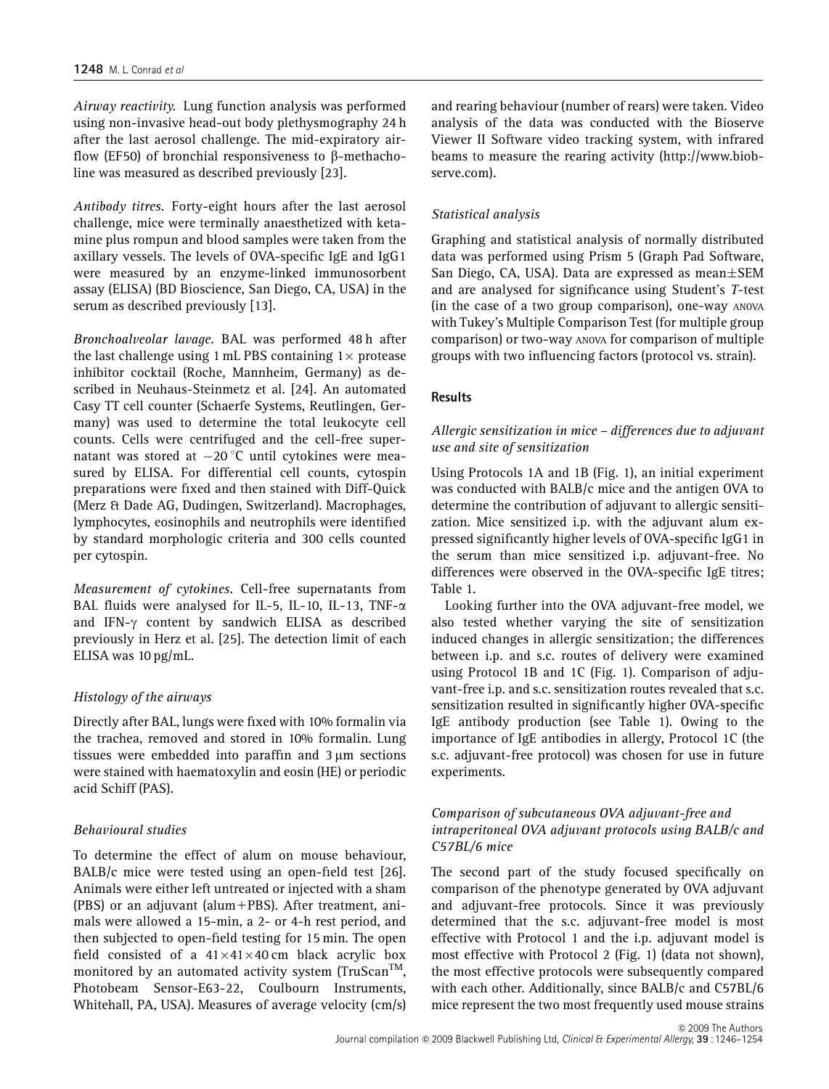Airway reactivity. Lung function analysis was performed using non-invasive head-out body plethysmography 24 h after the last aerosol challenge. The mid-expiratory airflow (EF50) of bronchial responsiveness to  $\beta$ -methacholine was measured as described previously [23].

Antibody titres. Forty-eight hours after the last aerosol challenge, mice were terminally anaesthetized with ketamine plus rompun and blood samples were taken from the axillary vessels. The levels of OVA-specific IgE and IgG1 were measured by an enzyme-linked immunosorbent assay (ELISA) (BD Bioscience, San Diego, CA, USA) in the serum as described previously [13].

Bronchoalveolar lavage. BAL was performed 48 h after the last challenge using 1 mL PBS containing  $1 \times$  protease inhibitor cocktail (Roche, Mannheim, Germany) as described in Neuhaus-Steinmetz et al. [24]. An automated Casy TT cell counter (Schaerfe Systems, Reutlingen, Germany) was used to determine the total leukocyte cell counts. Cells were centrifuged and the cell-free supernatant was stored at  $-20$  °C until cytokines were measured by ELISA. For differential cell counts, cytospin preparations were fixed and then stained with Diff-Quick (Merz & Dade AG, Dudingen, Switzerland). Macrophages, lymphocytes, eosinophils and neutrophils were identified by standard morphologic criteria and 300 cells counted per cytospin.

Measurement of cytokines. Cell-free supernatants from BAL fluids were analysed for IL-5, IL-10, IL-13, TNF- $\alpha$ and IFN- $\gamma$  content by sandwich ELISA as described previously in Herz et al. [25]. The detection limit of each ELISA was 10 pg/mL.

#### Histology of the airways

Directly after BAL, lungs were fixed with 10% formalin via the trachea, removed and stored in 10% formalin. Lung tissues were embedded into paraffin and  $3 \mu m$  sections were stained with haematoxylin and eosin (HE) or periodic acid Schiff (PAS).

#### Behavioural studies

To determine the effect of alum on mouse behaviour, BALB/c mice were tested using an open-field test [26]. Animals were either left untreated or injected with a sham (PBS) or an adjuvant (alum+PBS). After treatment, animals were allowed a 15-min, a 2- or 4-h rest period, and then subjected to open-field testing for 15 min. The open field consisted of a  $41\times41\times40$  cm black acrylic box monitored by an automated activity system (TruScan<sup>TM</sup>, Photobeam Sensor-E63-22, Coulbourn Instruments, Whitehall, PA, USA). Measures of average velocity (cm/s) and rearing behaviour (number of rears) were taken. Video analysis of the data was conducted with the Bioserve Viewer II Software video tracking system, with infrared beams to measure the rearing activity ([http://www.biob](http://www.biobserve.com)[serve.com\).](http://www.biobserve.com)

#### Statistical analysis

Graphing and statistical analysis of normally distributed data was performed using Prism 5 (Graph Pad Software, San Diego, CA, USA). Data are expressed as mean $\pm$ SEM and are analysed for significance using Student's T-test (in the case of a two group comparison), one-way ANOVA with Tukey's Multiple Comparison Test (for multiple group comparison) or two-way ANOVA for comparison of multiple groups with two influencing factors (protocol vs. strain).

#### Results

#### Allergic sensitization in mice – differences due to adjuvant use and site of sensitization

Using Protocols 1A and 1B (Fig. 1), an initial experiment was conducted with BALB/c mice and the antigen OVA to determine the contribution of adjuvant to allergic sensitization. Mice sensitized i.p. with the adjuvant alum expressed significantly higher levels of OVA-specific IgG1 in the serum than mice sensitized i.p. adjuvant-free. No differences were observed in the OVA-specific IgE titres; Table 1.

Looking further into the OVA adjuvant-free model, we also tested whether varying the site of sensitization induced changes in allergic sensitization; the differences between i.p. and s.c. routes of delivery were examined using Protocol 1B and 1C (Fig. 1). Comparison of adjuvant-free i.p. and s.c. sensitization routes revealed that s.c. sensitization resulted in significantly higher OVA-specific IgE antibody production (see Table 1). Owing to the importance of IgE antibodies in allergy, Protocol 1C (the s.c. adjuvant-free protocol) was chosen for use in future experiments.

### Comparison of subcutaneous OVA adjuvant-free and intraperitoneal OVA adjuvant protocols using BALB/c and C57BL/6 mice

The second part of the study focused specifically on comparison of the phenotype generated by OVA adjuvant and adjuvant-free protocols. Since it was previously determined that the s.c. adjuvant-free model is most effective with Protocol 1 and the i.p. adjuvant model is most effective with Protocol 2 (Fig. 1) (data not shown), the most effective protocols were subsequently compared with each other. Additionally, since BALB/c and C57BL/6 mice represent the two most frequently used mouse strains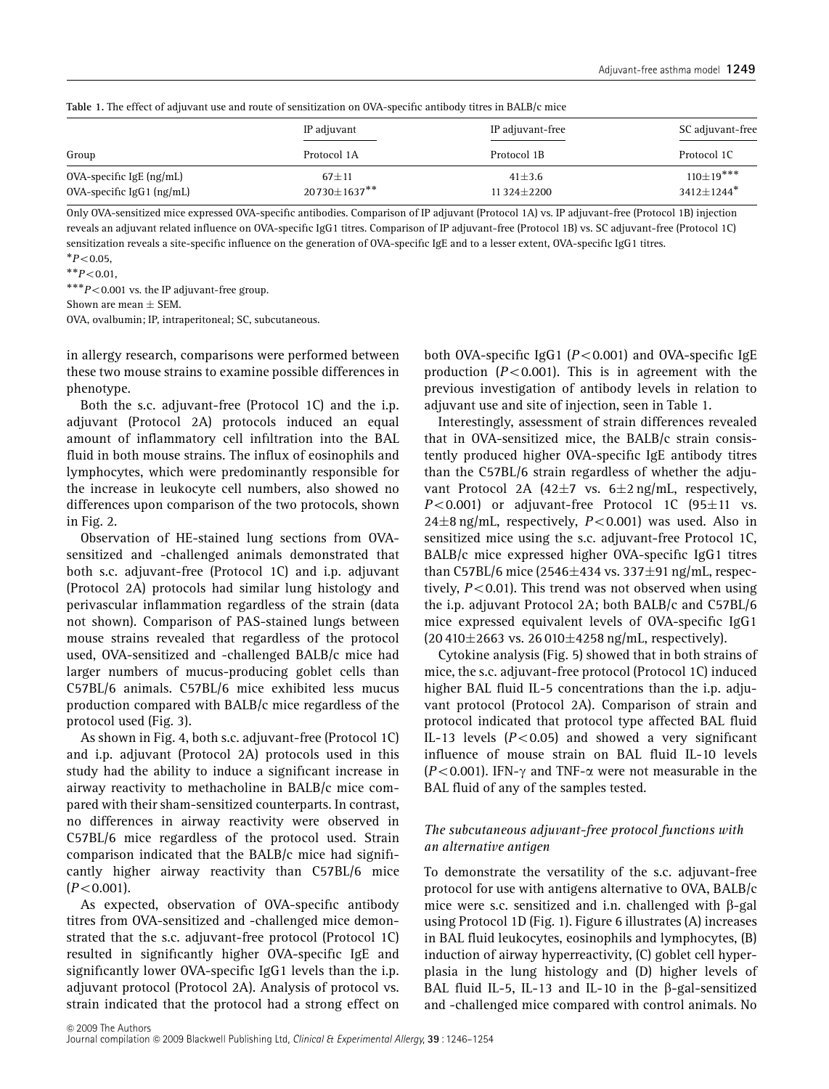| Table 11 The cheet of aufavant ase and foate of sensitization on 0411 specific anthough titles in Bridgle inter |                                  |                            |                                            |  |  |
|-----------------------------------------------------------------------------------------------------------------|----------------------------------|----------------------------|--------------------------------------------|--|--|
|                                                                                                                 | IP adjuvant                      | IP adjuvant-free           | SC adjuvant-free                           |  |  |
| Group                                                                                                           | Protocol 1A                      | Protocol 1B                | Protocol 1C                                |  |  |
| $OVA$ -specific IgE $(ng/mL)$<br>$OVA$ -specific $IgG1$ ( $ng/mL$ )                                             | $67 + 11$<br>$20730 \pm 1637$ ** | $41 \pm 3.6$<br>11324±2200 | $110\pm19$ ***<br>$3412+1244$ <sup>*</sup> |  |  |

Table 1. The effect of adjuvant use and route of sensitization on OVA-specific antibody titres in BALB/c mice

Only OVA-sensitized mice expressed OVA-specific antibodies. Comparison of IP adjuvant (Protocol 1A) vs. IP adjuvant-free (Protocol 1B) injection reveals an adjuvant related influence on OVA-specific IgG1 titres. Comparison of IP adjuvant-free (Protocol 1B) vs. SC adjuvant-free (Protocol 1C) sensitization reveals a site-specific influence on the generation of OVA-specific IgE and to a lesser extent, OVA-specific IgG1 titres.  $*P<0.05$ ,

 $^*P<0.05,$ <br>  $^*P<0.01,$ <br>  $^**P<0.00$ 

 $*p$  < 0.001 vs. the IP adjuvant-free group.

Shown are mean  $\pm$  SEM.

OVA, ovalbumin; IP, intraperitoneal; SC, subcutaneous.

in allergy research, comparisons were performed between these two mouse strains to examine possible differences in phenotype.

Both the s.c. adjuvant-free (Protocol 1C) and the i.p. adjuvant (Protocol 2A) protocols induced an equal amount of inflammatory cell infiltration into the BAL fluid in both mouse strains. The influx of eosinophils and lymphocytes, which were predominantly responsible for the increase in leukocyte cell numbers, also showed no differences upon comparison of the two protocols, shown in Fig. 2.

Observation of HE-stained lung sections from OVAsensitized and -challenged animals demonstrated that both s.c. adjuvant-free (Protocol 1C) and i.p. adjuvant (Protocol 2A) protocols had similar lung histology and perivascular inflammation regardless of the strain (data not shown). Comparison of PAS-stained lungs between mouse strains revealed that regardless of the protocol used, OVA-sensitized and -challenged BALB/c mice had larger numbers of mucus-producing goblet cells than C57BL/6 animals. C57BL/6 mice exhibited less mucus production compared with BALB/c mice regardless of the protocol used (Fig. 3).

As shown in Fig. 4, both s.c. adjuvant-free (Protocol 1C) and i.p. adjuvant (Protocol 2A) protocols used in this study had the ability to induce a significant increase in airway reactivity to methacholine in BALB/c mice compared with their sham-sensitized counterparts. In contrast, no differences in airway reactivity were observed in C57BL/6 mice regardless of the protocol used. Strain comparison indicated that the BALB/c mice had significantly higher airway reactivity than C57BL/6 mice  $(P<0.001)$ .

As expected, observation of OVA-specific antibody titres from OVA-sensitized and -challenged mice demonstrated that the s.c. adjuvant-free protocol (Protocol 1C) resulted in significantly higher OVA-specific IgE and significantly lower OVA-specific IgG1 levels than the i.p. adjuvant protocol (Protocol 2A). Analysis of protocol vs. strain indicated that the protocol had a strong effect on both OVA-specific IgG1 ( $P$ <0.001) and OVA-specific IgE production ( $P < 0.001$ ). This is in agreement with the previous investigation of antibody levels in relation to adjuvant use and site of injection, seen in Table 1.

Interestingly, assessment of strain differences revealed that in OVA-sensitized mice, the BALB/c strain consistently produced higher OVA-specific IgE antibody titres than the C57BL/6 strain regardless of whether the adjuvant Protocol 2A (42 $\pm$ 7 vs. 6 $\pm$ 2 ng/mL, respectively,  $P<0.001$ ) or adjuvant-free Protocol 1C (95 $\pm$ 11 vs.  $24\pm8$  ng/mL, respectively,  $P<0.001$ ) was used. Also in sensitized mice using the s.c. adjuvant-free Protocol 1C, BALB/c mice expressed higher OVA-specific IgG1 titres than C57BL/6 mice (2546 $\pm$ 434 vs. 337 $\pm$ 91 ng/mL, respectively,  $P < 0.01$ ). This trend was not observed when using the i.p. adjuvant Protocol 2A; both BALB/c and C57BL/6 mice expressed equivalent levels of OVA-specific IgG1  $(20\,410\pm2663 \text{ vs. } 26\,010\pm4258 \text{ ng/mL},$  respectively).

Cytokine analysis (Fig. 5) showed that in both strains of mice, the s.c. adjuvant-free protocol (Protocol 1C) induced higher BAL fluid IL-5 concentrations than the i.p. adjuvant protocol (Protocol 2A). Comparison of strain and protocol indicated that protocol type affected BAL fluid IL-13 levels  $(P<0.05)$  and showed a very significant influence of mouse strain on BAL fluid IL-10 levels  $(P<0.001)$ . IFN- $\gamma$  and TNF- $\alpha$  were not measurable in the BAL fluid of any of the samples tested.

#### The subcutaneous adjuvant-free protocol functions with an alternative antigen

To demonstrate the versatility of the s.c. adjuvant-free protocol for use with antigens alternative to OVA, BALB/c mice were s.c. sensitized and i.n. challenged with  $\beta$ -gal using Protocol 1D (Fig. 1). Figure 6 illustrates (A) increases in BAL fluid leukocytes, eosinophils and lymphocytes, (B) induction of airway hyperreactivity, (C) goblet cell hyperplasia in the lung histology and (D) higher levels of BAL fluid IL-5, IL-13 and IL-10 in the  $\beta$ -gal-sensitized and -challenged mice compared with control animals. No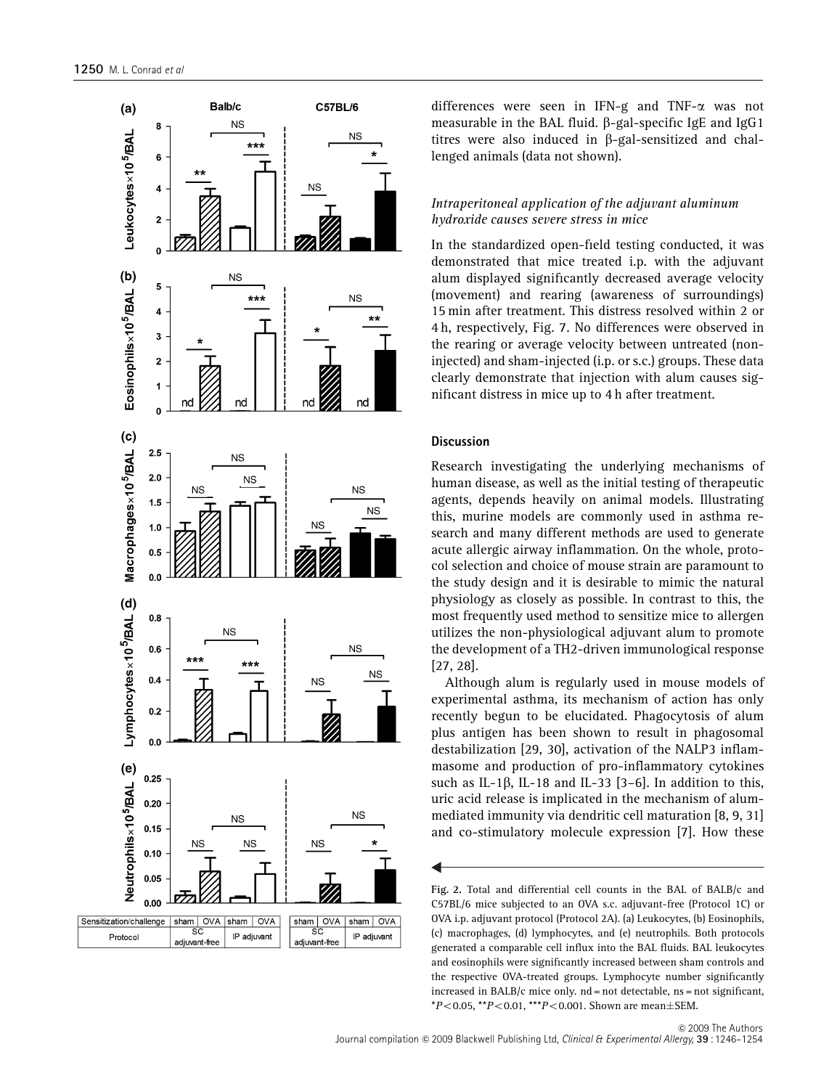

differences were seen in IFN-g and TNF-a was not measurable in the BAL fluid. b-gal-specific IgE and IgG1 titres were also induced in  $\beta$ -gal-sensitized and challenged animals (data not shown).

#### Intraperitoneal application of the adjuvant aluminum hydroxide causes severe stress in mice

In the standardized open-field testing conducted, it was demonstrated that mice treated i.p. with the adjuvant alum displayed significantly decreased average velocity (movement) and rearing (awareness of surroundings) 15 min after treatment. This distress resolved within 2 or 4 h, respectively, Fig. 7. No differences were observed in the rearing or average velocity between untreated (noninjected) and sham-injected (i.p. or s.c.) groups. These data clearly demonstrate that injection with alum causes significant distress in mice up to 4 h after treatment.

#### **Discussion**

Research investigating the underlying mechanisms of human disease, as well as the initial testing of therapeutic agents, depends heavily on animal models. Illustrating this, murine models are commonly used in asthma research and many different methods are used to generate acute allergic airway inflammation. On the whole, protocol selection and choice of mouse strain are paramount to the study design and it is desirable to mimic the natural physiology as closely as possible. In contrast to this, the most frequently used method to sensitize mice to allergen utilizes the non-physiological adjuvant alum to promote the development of a TH2-driven immunological response [27, 28].

Although alum is regularly used in mouse models of experimental asthma, its mechanism of action has only recently begun to be elucidated. Phagocytosis of alum plus antigen has been shown to result in phagosomal destabilization [29, 30], activation of the NALP3 inflammasome and production of pro-inflammatory cytokines such as IL-1 $\beta$ , IL-18 and IL-33 [3-6]. In addition to this, uric acid release is implicated in the mechanism of alummediated immunity via dendritic cell maturation [8, 9, 31] and co-stimulatory molecule expression [7]. How these

Fig. 2. Total and differential cell counts in the BAL of BALB/c and C57BL/6 mice subjected to an OVA s.c. adjuvant-free (Protocol 1C) or OVA i.p. adjuvant protocol (Protocol 2A). (a) Leukocytes, (b) Eosinophils, (c) macrophages, (d) lymphocytes, and (e) neutrophils. Both protocols generated a comparable cell influx into the BAL fluids. BAL leukocytes and eosinophils were significantly increased between sham controls and the respective OVA-treated groups. Lymphocyte number significantly increased in BALB/c mice only.  $nd = not$  detectable,  $ns = not$  significant,  $*P<0.05$ ,  $*P<0.01$ ,  $**P<0.001$ . Shown are mean $\pm$ SEM.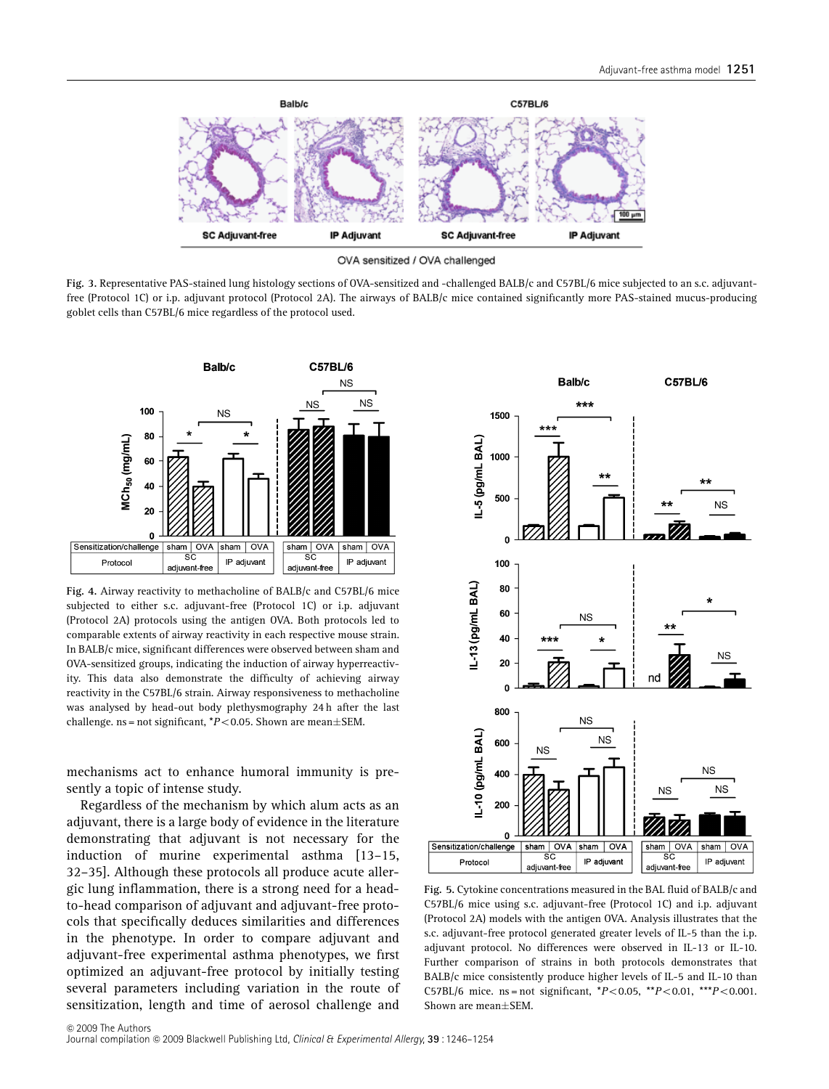

OVA sensitized / OVA challenged

Fig. 3. Representative PAS-stained lung histology sections of OVA-sensitized and -challenged BALB/c and C57BL/6 mice subjected to an s.c. adjuvantfree (Protocol 1C) or i.p. adjuvant protocol (Protocol 2A). The airways of BALB/c mice contained significantly more PAS-stained mucus-producing goblet cells than C57BL/6 mice regardless of the protocol used.



Fig. 4. Airway reactivity to methacholine of BALB/c and C57BL/6 mice subjected to either s.c. adjuvant-free (Protocol 1C) or i.p. adjuvant (Protocol 2A) protocols using the antigen OVA. Both protocols led to comparable extents of airway reactivity in each respective mouse strain. In BALB/c mice, significant differences were observed between sham and OVA-sensitized groups, indicating the induction of airway hyperreactivity. This data also demonstrate the difficulty of achieving airway reactivity in the C57BL/6 strain. Airway responsiveness to methacholine was analysed by head-out body plethysmography 24 h after the last challenge. ns = not significant,  $*P<0.05$ . Shown are mean $\pm$ SEM.

mechanisms act to enhance humoral immunity is presently a topic of intense study.

Regardless of the mechanism by which alum acts as an adjuvant, there is a large body of evidence in the literature demonstrating that adjuvant is not necessary for the induction of murine experimental asthma [13–15, 32–35]. Although these protocols all produce acute allergic lung inflammation, there is a strong need for a headto-head comparison of adjuvant and adjuvant-free protocols that specifically deduces similarities and differences in the phenotype. In order to compare adjuvant and adjuvant-free experimental asthma phenotypes, we first optimized an adjuvant-free protocol by initially testing several parameters including variation in the route of sensitization, length and time of aerosol challenge and



Fig. 5. Cytokine concentrations measured in the BAL fluid of BALB/c and C57BL/6 mice using s.c. adjuvant-free (Protocol 1C) and i.p. adjuvant (Protocol 2A) models with the antigen OVA. Analysis illustrates that the s.c. adjuvant-free protocol generated greater levels of IL-5 than the i.p. adjuvant protocol. No differences were observed in IL-13 or IL-10. Further comparison of strains in both protocols demonstrates that BALB/c mice consistently produce higher levels of IL-5 and IL-10 than C57BL/6 mice. ns = not significant,  $*P<0.05$ ,  $*P<0.01$ ,  $**P<0.001$ . Shown are mean $\pm$ SEM.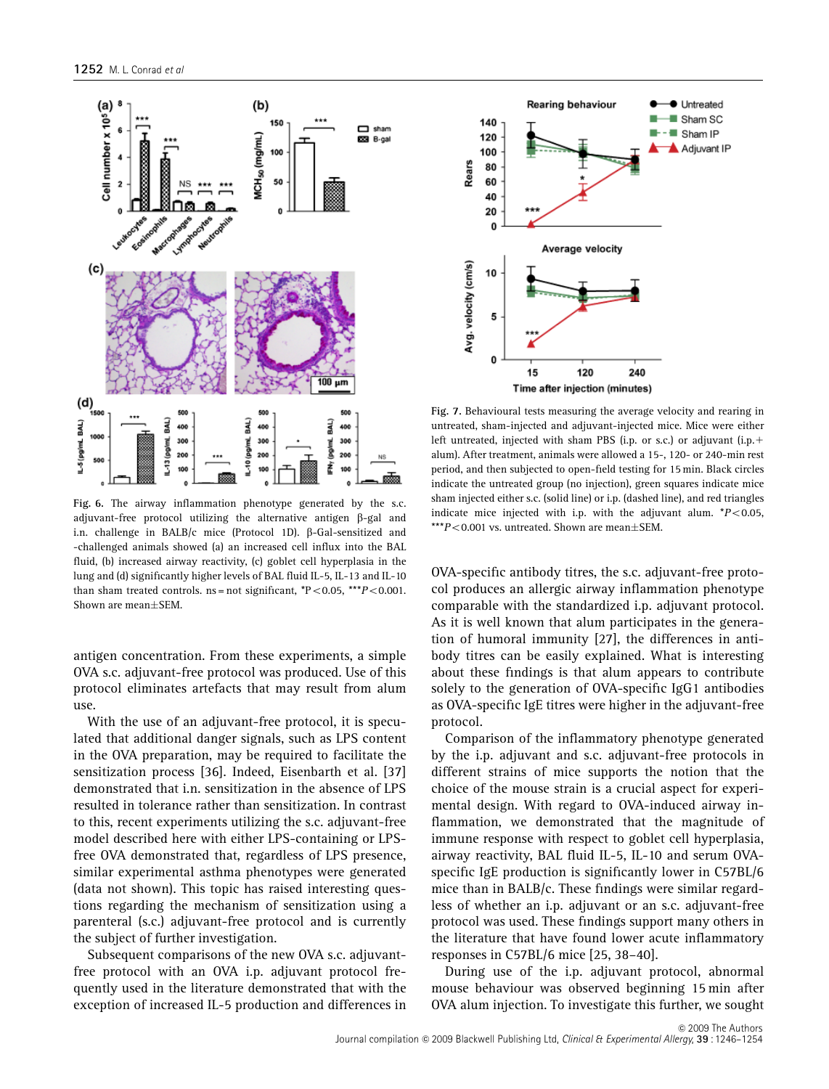

Fig. 6. The airway inflammation phenotype generated by the s.c. adjuvant-free protocol utilizing the alternative antigen b-gal and i.n. challenge in BALB/c mice (Protocol 1D).  $\beta$ -Gal-sensitized and -challenged animals showed (a) an increased cell influx into the BAL fluid, (b) increased airway reactivity, (c) goblet cell hyperplasia in the lung and (d) significantly higher levels of BAL fluid IL-5, IL-13 and IL-10 than sham treated controls.  $ns = not$  significant,  $*P < 0.05$ ,  $**P < 0.001$ . Shown are mean $\pm$ SEM.

antigen concentration. From these experiments, a simple OVA s.c. adjuvant-free protocol was produced. Use of this protocol eliminates artefacts that may result from alum use.

With the use of an adjuvant-free protocol, it is speculated that additional danger signals, such as LPS content in the OVA preparation, may be required to facilitate the sensitization process [36]. Indeed, Eisenbarth et al. [37] demonstrated that i.n. sensitization in the absence of LPS resulted in tolerance rather than sensitization. In contrast to this, recent experiments utilizing the s.c. adjuvant-free model described here with either LPS-containing or LPSfree OVA demonstrated that, regardless of LPS presence, similar experimental asthma phenotypes were generated (data not shown). This topic has raised interesting questions regarding the mechanism of sensitization using a parenteral (s.c.) adjuvant-free protocol and is currently the subject of further investigation.

Subsequent comparisons of the new OVA s.c. adjuvantfree protocol with an OVA i.p. adjuvant protocol frequently used in the literature demonstrated that with the exception of increased IL-5 production and differences in



Fig. 7. Behavioural tests measuring the average velocity and rearing in untreated, sham-injected and adjuvant-injected mice. Mice were either left untreated, injected with sham PBS (i.p. or s.c.) or adjuvant (i.p.+ alum). After treatment, animals were allowed a 15-, 120- or 240-min rest period, and then subjected to open-field testing for 15 min. Black circles indicate the untreated group (no injection), green squares indicate mice sham injected either s.c. (solid line) or i.p. (dashed line), and red triangles indicate mice injected with i.p. with the adjuvant alum.  $*P<0.05$ , \*\*\* $P < 0.001$  vs. untreated. Shown are mean $+$ SEM.

OVA-specific antibody titres, the s.c. adjuvant-free protocol produces an allergic airway inflammation phenotype comparable with the standardized i.p. adjuvant protocol. As it is well known that alum participates in the generation of humoral immunity [27], the differences in antibody titres can be easily explained. What is interesting about these findings is that alum appears to contribute solely to the generation of OVA-specific IgG1 antibodies as OVA-specific IgE titres were higher in the adjuvant-free protocol.

Comparison of the inflammatory phenotype generated by the i.p. adjuvant and s.c. adjuvant-free protocols in different strains of mice supports the notion that the choice of the mouse strain is a crucial aspect for experimental design. With regard to OVA-induced airway inflammation, we demonstrated that the magnitude of immune response with respect to goblet cell hyperplasia, airway reactivity, BAL fluid IL-5, IL-10 and serum OVAspecific IgE production is significantly lower in C57BL/6 mice than in BALB/c. These findings were similar regardless of whether an i.p. adjuvant or an s.c. adjuvant-free protocol was used. These findings support many others in the literature that have found lower acute inflammatory responses in C57BL/6 mice [25, 38–40].

During use of the i.p. adjuvant protocol, abnormal mouse behaviour was observed beginning 15 min after OVA alum injection. To investigate this further, we sought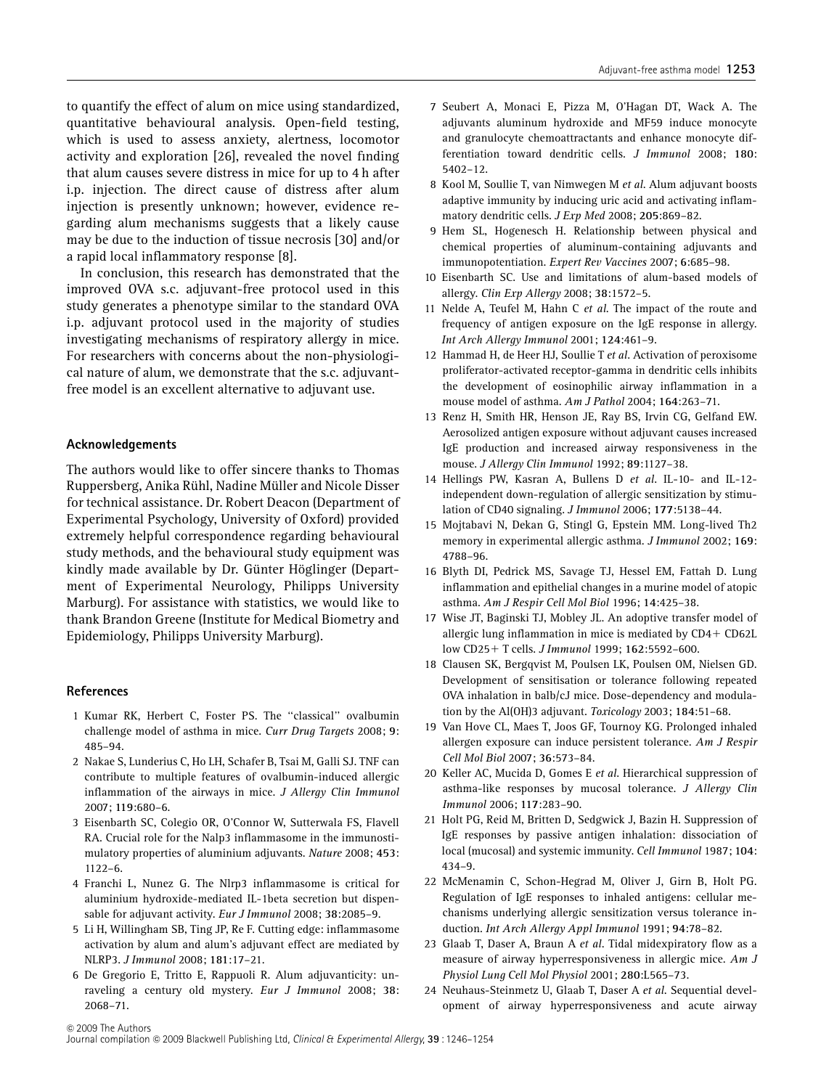to quantify the effect of alum on mice using standardized, quantitative behavioural analysis. Open-field testing, which is used to assess anxiety, alertness, locomotor activity and exploration [26], revealed the novel finding that alum causes severe distress in mice for up to 4 h after i.p. injection. The direct cause of distress after alum injection is presently unknown; however, evidence regarding alum mechanisms suggests that a likely cause may be due to the induction of tissue necrosis [30] and/or a rapid local inflammatory response [8].

In conclusion, this research has demonstrated that the improved OVA s.c. adjuvant-free protocol used in this study generates a phenotype similar to the standard OVA i.p. adjuvant protocol used in the majority of studies investigating mechanisms of respiratory allergy in mice. For researchers with concerns about the non-physiological nature of alum, we demonstrate that the s.c. adjuvantfree model is an excellent alternative to adjuvant use.

#### Acknowledgements

The authors would like to offer sincere thanks to Thomas Ruppersberg, Anika Rühl, Nadine Müller and Nicole Disser for technical assistance. Dr. Robert Deacon (Department of Experimental Psychology, University of Oxford) provided extremely helpful correspondence regarding behavioural study methods, and the behavioural study equipment was kindly made available by Dr. Günter Höglinger (Department of Experimental Neurology, Philipps University Marburg). For assistance with statistics, we would like to thank Brandon Greene (Institute for Medical Biometry and Epidemiology, Philipps University Marburg).

#### References

- 1 Kumar RK, Herbert C, Foster PS. The ''classical'' ovalbumin challenge model of asthma in mice. Curr Drug Targets 2008; 9: 485–94.
- 2 Nakae S, Lunderius C, Ho LH, Schafer B, Tsai M, Galli SJ. TNF can contribute to multiple features of ovalbumin-induced allergic inflammation of the airways in mice. J Allergy Clin Immunol 2007; 119:680–6.
- 3 Eisenbarth SC, Colegio OR, O'Connor W, Sutterwala FS, Flavell RA. Crucial role for the Nalp3 inflammasome in the immunostimulatory properties of aluminium adjuvants. Nature 2008; 453: 1122–6.
- 4 Franchi L, Nunez G. The Nlrp3 inflammasome is critical for aluminium hydroxide-mediated IL-1beta secretion but dispensable for adjuvant activity. Eur J Immunol 2008; 38:2085-9.
- 5 Li H, Willingham SB, Ting JP, Re F. Cutting edge: inflammasome activation by alum and alum's adjuvant effect are mediated by NLRP3. J Immunol 2008; 181:17–21.
- 6 De Gregorio E, Tritto E, Rappuoli R. Alum adjuvanticity: unraveling a century old mystery. Eur J Immunol 2008; 38: 2068–71.
- 7 Seubert A, Monaci E, Pizza M, O'Hagan DT, Wack A. The adjuvants aluminum hydroxide and MF59 induce monocyte and granulocyte chemoattractants and enhance monocyte differentiation toward dendritic cells. J Immunol 2008; 180: 5402–12.
- 8 Kool M, Soullie T, van Nimwegen M et al. Alum adjuvant boosts adaptive immunity by inducing uric acid and activating inflammatory dendritic cells. J Exp Med 2008; 205:869–82.
- 9 Hem SL, Hogenesch H. Relationship between physical and chemical properties of aluminum-containing adjuvants and immunopotentiation. Expert Rev Vaccines 2007; 6:685–98.
- 10 Eisenbarth SC. Use and limitations of alum-based models of allergy. Clin Exp Allergy 2008; 38:1572–5.
- 11 Nelde A, Teufel M, Hahn C et al. The impact of the route and frequency of antigen exposure on the IgE response in allergy. Int Arch Allergy Immunol 2001; 124:461–9.
- 12 Hammad H, de Heer HJ, Soullie T et al. Activation of peroxisome proliferator-activated receptor-gamma in dendritic cells inhibits the development of eosinophilic airway inflammation in a mouse model of asthma. Am J Pathol 2004; 164:263–71.
- 13 Renz H, Smith HR, Henson JE, Ray BS, Irvin CG, Gelfand EW. Aerosolized antigen exposure without adjuvant causes increased IgE production and increased airway responsiveness in the mouse. J Allergy Clin Immunol 1992; 89:1127–38.
- 14 Hellings PW, Kasran A, Bullens D et al. IL-10- and IL-12 independent down-regulation of allergic sensitization by stimulation of CD40 signaling. J Immunol 2006; 177:5138–44.
- 15 Mojtabavi N, Dekan G, Stingl G, Epstein MM. Long-lived Th2 memory in experimental allergic asthma. J Immunol 2002; 169: 4788–96.
- 16 Blyth DI, Pedrick MS, Savage TJ, Hessel EM, Fattah D. Lung inflammation and epithelial changes in a murine model of atopic asthma. Am J Respir Cell Mol Biol 1996; 14:425–38.
- 17 Wise JT, Baginski TJ, Mobley JL. An adoptive transfer model of allergic lung inflammation in mice is mediated by  $CD4 + CD62L$ low CD25+ T cells. J Immunol 1999; 162:5592-600.
- 18 Clausen SK, Bergqvist M, Poulsen LK, Poulsen OM, Nielsen GD. Development of sensitisation or tolerance following repeated OVA inhalation in balb/cJ mice. Dose-dependency and modulation by the Al(OH)3 adjuvant. Toxicology 2003; 184:51–68.
- 19 Van Hove CL, Maes T, Joos GF, Tournoy KG. Prolonged inhaled allergen exposure can induce persistent tolerance. Am J Respir Cell Mol Biol 2007; 36:573–84.
- 20 Keller AC, Mucida D, Gomes E et al. Hierarchical suppression of asthma-like responses by mucosal tolerance. J Allergy Clin Immunol 2006; 117:283–90.
- 21 Holt PG, Reid M, Britten D, Sedgwick J, Bazin H. Suppression of IgE responses by passive antigen inhalation: dissociation of local (mucosal) and systemic immunity. Cell Immunol 1987; 104: 434–9.
- 22 McMenamin C, Schon-Hegrad M, Oliver J, Girn B, Holt PG. Regulation of IgE responses to inhaled antigens: cellular mechanisms underlying allergic sensitization versus tolerance induction. Int Arch Allergy Appl Immunol 1991; 94:78–82.
- 23 Glaab T, Daser A, Braun A et al. Tidal midexpiratory flow as a measure of airway hyperresponsiveness in allergic mice. Am J Physiol Lung Cell Mol Physiol 2001; 280:L565–73.
- 24 Neuhaus-Steinmetz U, Glaab T, Daser A et al. Sequential development of airway hyperresponsiveness and acute airway